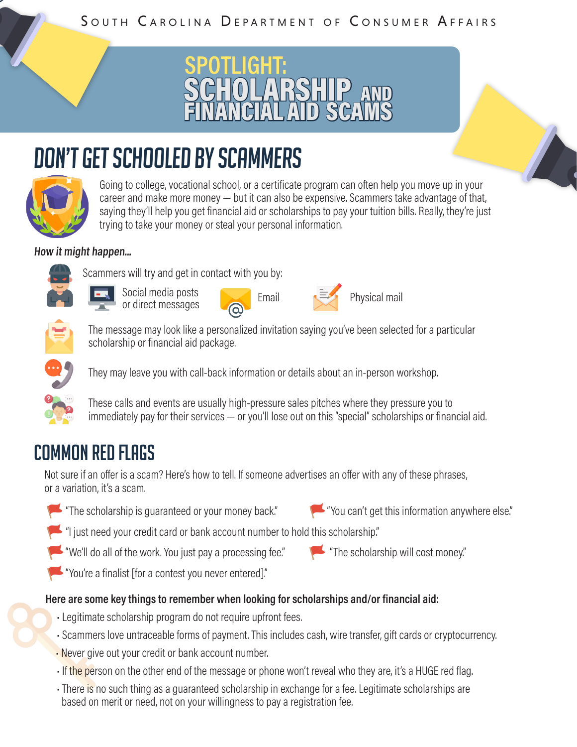#### SOUTH CAROLINA DEPARTMENT OF CONSUMER AFFAIRS



# don't get schooled by scammers



SCAMS

Going to college, vocational school, or a certificate program can often help you move up in your career and make more money — but it can also be expensive. Scammers take advantage of that, saying they'll help you get financial aid or scholarships to pay your tuition bills. Really, they're just trying to take your money or steal your personal information.

#### **How it might happen...**



Social media posts Social media posts<br>or direct messages and Email

Scammers will try and get in contact with you by:





The message may look like a personalized invitation saying you've been selected for a particular scholarship or financial aid package.



They may leave you with call-back information or details about an in-person workshop.

These calls and events are usually high-pressure sales pitches where they pressure you to immediately pay for their services — or you'll lose out on this "special" scholarships or financial aid.

### common red flags

Not sure if an offer is a scam? Here's how to tell. If someone advertises an offer with any of these phrases, or a variation, it's a scam.

"The scholarship is guaranteed or your money back."



"I just need your credit card or bank account number to hold this scholarship."

- "We'll do all of the work. You just pay a processing fee." "The scholarship will cost money."
- "You're a finalist [for a contest you never entered]."

#### **Here are some key things to remember when looking for scholarships and/or financial aid:**

- Legitimate scholarship program do not require upfront fees.
- Scammers love untraceable forms of payment. This includes cash, wire transfer, gift cards or cryptocurrency.
- Never give out your credit or bank account number.
- If the person on the other end of the message or phone won't reveal who they are, it's a HUGE red flag.
- There is no such thing as a quaranteed scholarship in exchange for a fee. Legitimate scholarships are based on merit or need, not on your willingness to pay a registration fee.